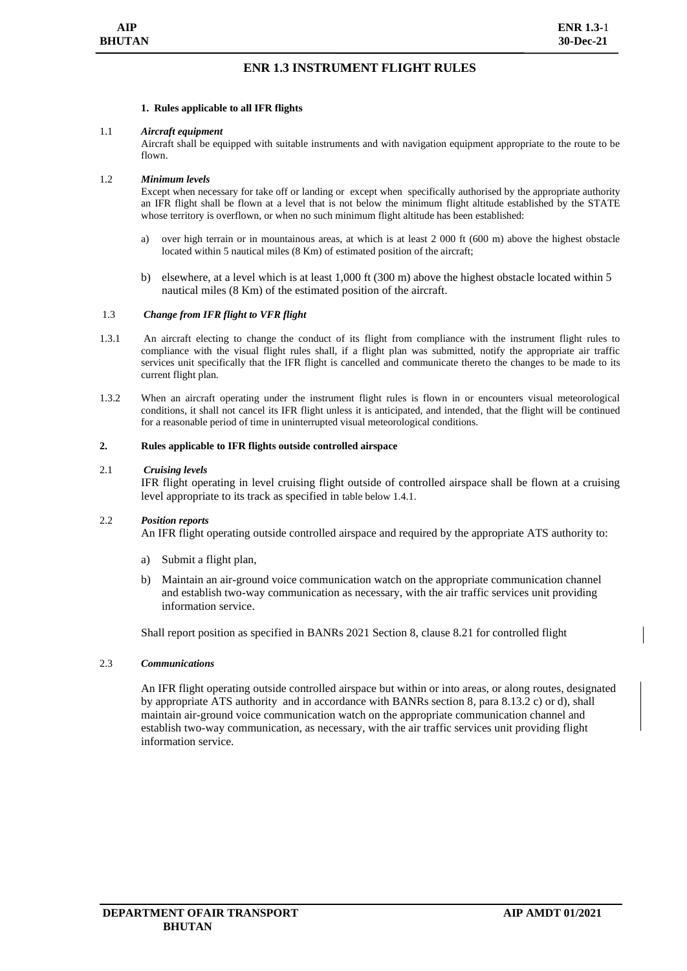# **ENR 1.3 INSTRUMENT FLIGHT RULES**

## **1. Rules applicable to all IFR flights**

## 1.1 *Aircraft equipment*

Aircraft shall be equipped with suitable instruments and with navigation equipment appropriate to the route to be flown.

## 1.2 *Minimum levels*

Except when necessary for take off or landing or except when specifically authorised by the appropriate authority an IFR flight shall be flown at a level that is not below the minimum flight altitude established by the STATE whose territory is overflown, or when no such minimum flight altitude has been established:

- a) over high terrain or in mountainous areas, at which is at least 2 000 ft (600 m) above the highest obstacle located within 5 nautical miles (8 Km) of estimated position of the aircraft;
- b) elsewhere, at a level which is at least 1,000 ft (300 m) above the highest obstacle located within 5 nautical miles (8 Km) of the estimated position of the aircraft.

## 1.3 *Change from IFR flight to VFR flight*

- 1.3.1 An aircraft electing to change the conduct of its flight from compliance with the instrument flight rules to compliance with the visual flight rules shall, if a flight plan was submitted, notify the appropriate air traffic services unit specifically that the IFR flight is cancelled and communicate thereto the changes to be made to its current flight plan.
- 1.3.2 When an aircraft operating under the instrument flight rules is flown in or encounters visual meteorological conditions, it shall not cancel its IFR flight unless it is anticipated, and intended, that the flight will be continued for a reasonable period of time in uninterrupted visual meteorological conditions.

## **2. Rules applicable to IFR flights outside controlled airspace**

## 2.1 *Cruising levels*

IFR flight operating in level cruising flight outside of controlled airspace shall be flown at a cruising level appropriate to its track as specified in table below 1.4.1.

## 2.2 *Position reports*

An IFR flight operating outside controlled airspace and required by the appropriate ATS authority to:

- a) Submit a flight plan,
- b) Maintain an air-ground voice communication watch on the appropriate communication channel and establish two-way communication as necessary, with the air traffic services unit providing information service.

Shall report position as specified in BANRs 2021 Section 8, clause 8.21 for controlled flight

## 2.3 *Communications*

An IFR flight operating outside controlled airspace but within or into areas, or along routes, designated by appropriate ATS authority and in accordance with BANRs section 8, para 8.13.2 c) or d), shall maintain air-ground voice communication watch on the appropriate communication channel and establish two-way communication, as necessary, with the air traffic services unit providing flight information service.